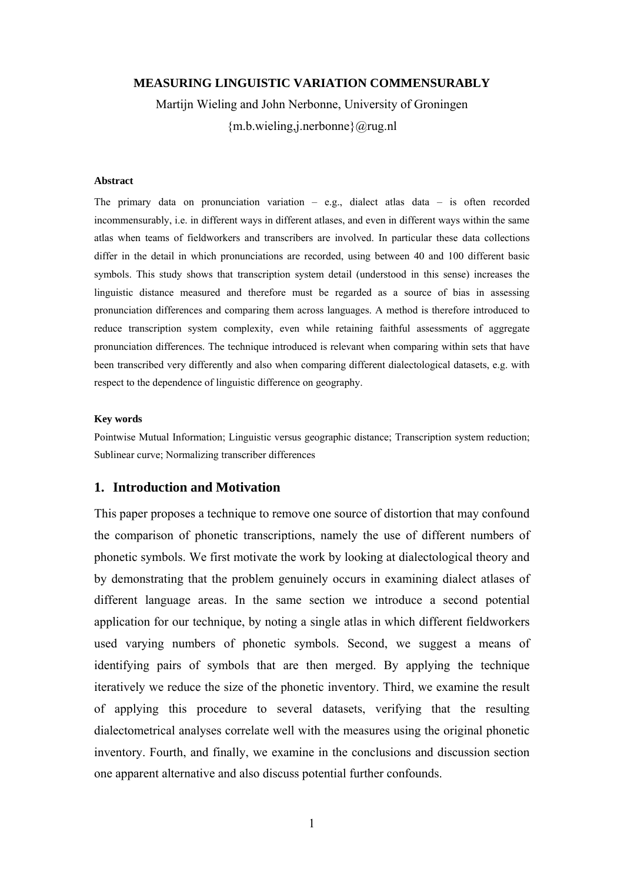#### **MEASURING LINGUISTIC VARIATION COMMENSURABLY**

Martijn Wieling and John Nerbonne, University of Groningen {m.b.wieling,j.nerbonne}@rug.nl

#### **Abstract**

The primary data on pronunciation variation  $-$  e.g., dialect atlas data  $-$  is often recorded incommensurably, i.e. in different ways in different atlases, and even in different ways within the same atlas when teams of fieldworkers and transcribers are involved. In particular these data collections differ in the detail in which pronunciations are recorded, using between 40 and 100 different basic symbols. This study shows that transcription system detail (understood in this sense) increases the linguistic distance measured and therefore must be regarded as a source of bias in assessing pronunciation differences and comparing them across languages. A method is therefore introduced to reduce transcription system complexity, even while retaining faithful assessments of aggregate pronunciation differences. The technique introduced is relevant when comparing within sets that have been transcribed very differently and also when comparing different dialectological datasets, e.g. with respect to the dependence of linguistic difference on geography.

#### **Key words**

Pointwise Mutual Information; Linguistic versus geographic distance; Transcription system reduction; Sublinear curve; Normalizing transcriber differences

## **1. Introduction and Motivation**

This paper proposes a technique to remove one source of distortion that may confound the comparison of phonetic transcriptions, namely the use of different numbers of phonetic symbols. We first motivate the work by looking at dialectological theory and by demonstrating that the problem genuinely occurs in examining dialect atlases of different language areas. In the same section we introduce a second potential application for our technique, by noting a single atlas in which different fieldworkers used varying numbers of phonetic symbols. Second, we suggest a means of identifying pairs of symbols that are then merged. By applying the technique iteratively we reduce the size of the phonetic inventory. Third, we examine the result of applying this procedure to several datasets, verifying that the resulting dialectometrical analyses correlate well with the measures using the original phonetic inventory. Fourth, and finally, we examine in the conclusions and discussion section one apparent alternative and also discuss potential further confounds.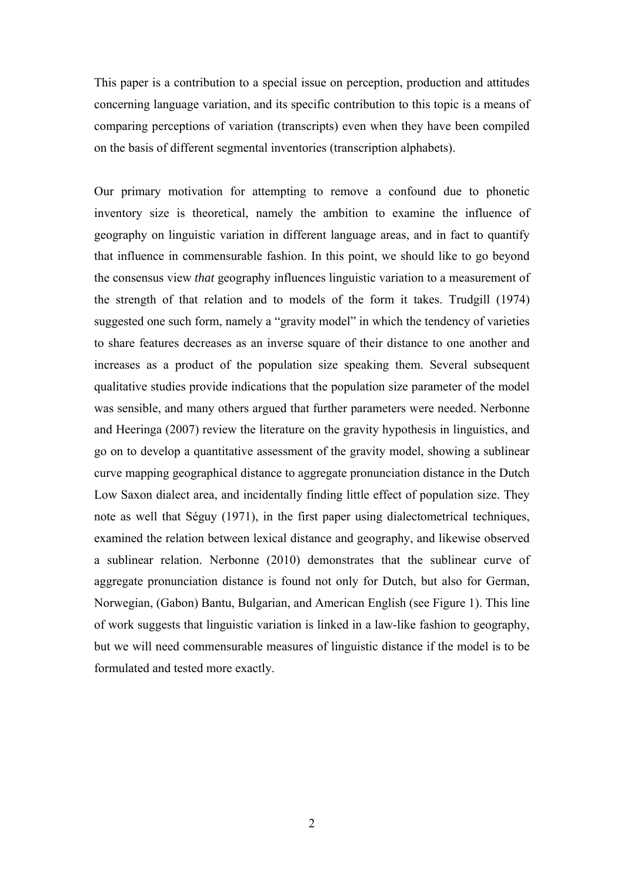This paper is a contribution to a special issue on perception, production and attitudes concerning language variation, and its specific contribution to this topic is a means of comparing perceptions of variation (transcripts) even when they have been compiled on the basis of different segmental inventories (transcription alphabets).

Our primary motivation for attempting to remove a confound due to phonetic inventory size is theoretical, namely the ambition to examine the influence of geography on linguistic variation in different language areas, and in fact to quantify that influence in commensurable fashion. In this point, we should like to go beyond the consensus view *that* geography influences linguistic variation to a measurement of the strength of that relation and to models of the form it takes. Trudgill (1974) suggested one such form, namely a "gravity model" in which the tendency of varieties to share features decreases as an inverse square of their distance to one another and increases as a product of the population size speaking them. Several subsequent qualitative studies provide indications that the population size parameter of the model was sensible, and many others argued that further parameters were needed. Nerbonne and Heeringa (2007) review the literature on the gravity hypothesis in linguistics, and go on to develop a quantitative assessment of the gravity model, showing a sublinear curve mapping geographical distance to aggregate pronunciation distance in the Dutch Low Saxon dialect area, and incidentally finding little effect of population size. They note as well that Séguy (1971), in the first paper using dialectometrical techniques, examined the relation between lexical distance and geography, and likewise observed a sublinear relation. Nerbonne (2010) demonstrates that the sublinear curve of aggregate pronunciation distance is found not only for Dutch, but also for German, Norwegian, (Gabon) Bantu, Bulgarian, and American English (see Figure 1). This line of work suggests that linguistic variation is linked in a law-like fashion to geography, but we will need commensurable measures of linguistic distance if the model is to be formulated and tested more exactly.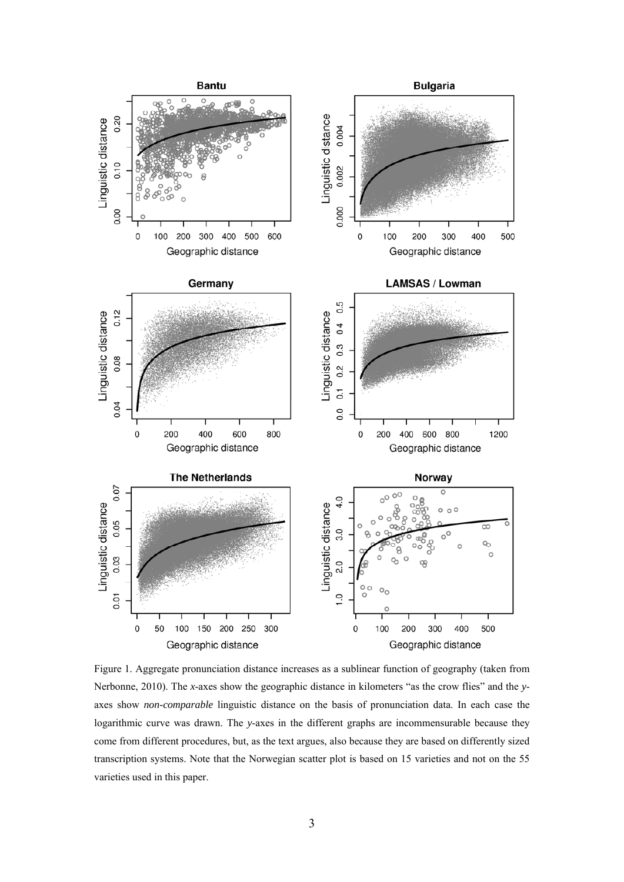

Figure 1. Aggregate pronunciation distance increases as a sublinear function of geography (taken from Nerbonne, 2010). The *x*-axes show the geographic distance in kilometers "as the crow flies" and the *y*axes show *non-comparable* linguistic distance on the basis of pronunciation data. In each case the logarithmic curve was drawn. The *y*-axes in the different graphs are incommensurable because they come from different procedures, but, as the text argues, also because they are based on differently sized transcription systems. Note that the Norwegian scatter plot is based on 15 varieties and not on the 55 varieties used in this paper.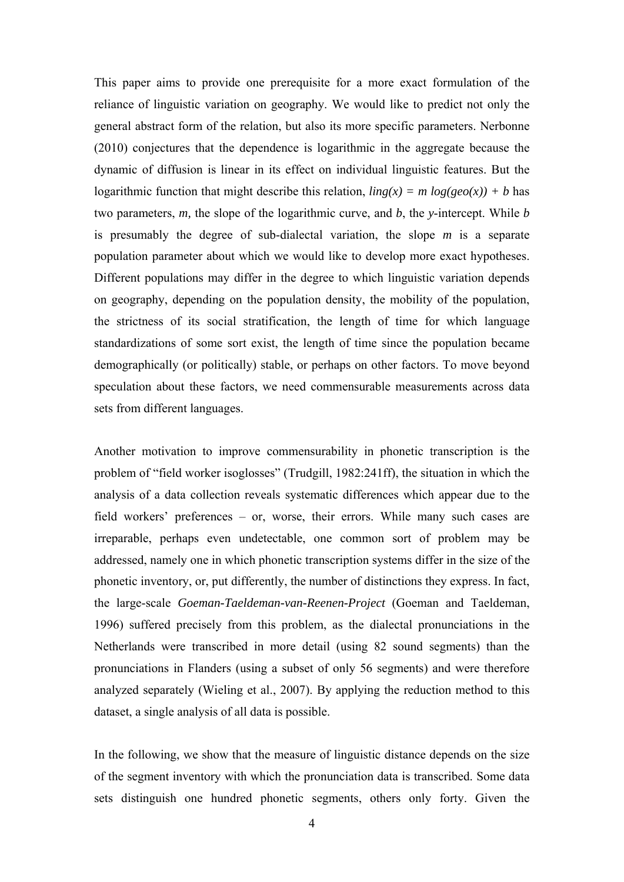This paper aims to provide one prerequisite for a more exact formulation of the reliance of linguistic variation on geography. We would like to predict not only the general abstract form of the relation, but also its more specific parameters. Nerbonne (2010) conjectures that the dependence is logarithmic in the aggregate because the dynamic of diffusion is linear in its effect on individual linguistic features. But the logarithmic function that might describe this relation,  $\lim g(x) = m \log(\frac{geo(x)}{x}) + b$  has two parameters, *m,* the slope of the logarithmic curve, and *b*, the *y*-intercept. While *b* is presumably the degree of sub-dialectal variation, the slope *m* is a separate population parameter about which we would like to develop more exact hypotheses. Different populations may differ in the degree to which linguistic variation depends on geography, depending on the population density, the mobility of the population, the strictness of its social stratification, the length of time for which language standardizations of some sort exist, the length of time since the population became demographically (or politically) stable, or perhaps on other factors. To move beyond speculation about these factors, we need commensurable measurements across data sets from different languages.

Another motivation to improve commensurability in phonetic transcription is the problem of "field worker isoglosses" (Trudgill, 1982:241ff), the situation in which the analysis of a data collection reveals systematic differences which appear due to the field workers' preferences – or, worse, their errors. While many such cases are irreparable, perhaps even undetectable, one common sort of problem may be addressed, namely one in which phonetic transcription systems differ in the size of the phonetic inventory, or, put differently, the number of distinctions they express. In fact, the large-scale *Goeman-Taeldeman-van-Reenen-Project* (Goeman and Taeldeman, 1996) suffered precisely from this problem, as the dialectal pronunciations in the Netherlands were transcribed in more detail (using 82 sound segments) than the pronunciations in Flanders (using a subset of only 56 segments) and were therefore analyzed separately (Wieling et al., 2007). By applying the reduction method to this dataset, a single analysis of all data is possible.

In the following, we show that the measure of linguistic distance depends on the size of the segment inventory with which the pronunciation data is transcribed. Some data sets distinguish one hundred phonetic segments, others only forty. Given the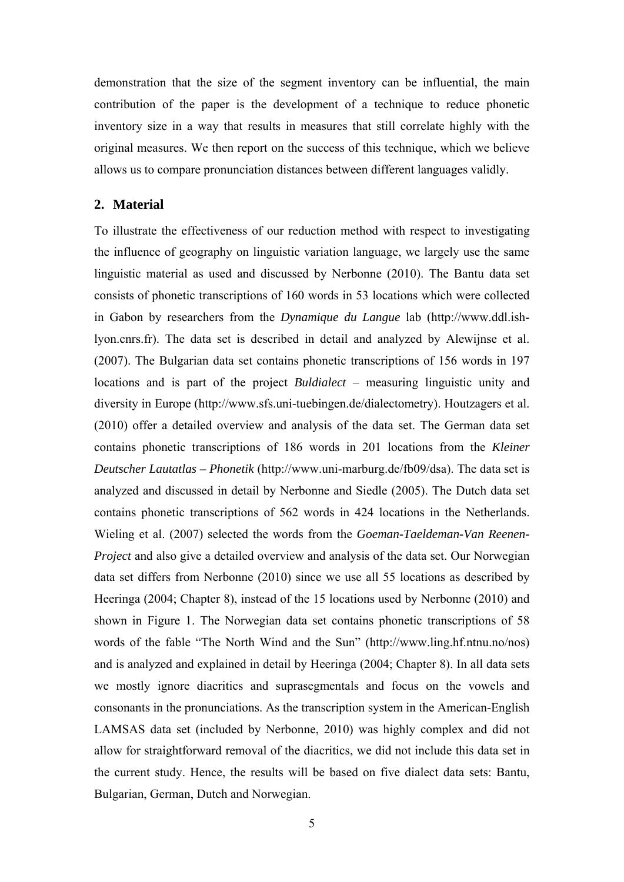demonstration that the size of the segment inventory can be influential, the main contribution of the paper is the development of a technique to reduce phonetic inventory size in a way that results in measures that still correlate highly with the original measures. We then report on the success of this technique, which we believe allows us to compare pronunciation distances between different languages validly.

# **2. Material**

To illustrate the effectiveness of our reduction method with respect to investigating the influence of geography on linguistic variation language, we largely use the same linguistic material as used and discussed by Nerbonne (2010). The Bantu data set consists of phonetic transcriptions of 160 words in 53 locations which were collected in Gabon by researchers from the *Dynamique du Langue* lab (http://www.ddl.ishlyon.cnrs.fr). The data set is described in detail and analyzed by Alewijnse et al. (2007). The Bulgarian data set contains phonetic transcriptions of 156 words in 197 locations and is part of the project *Buldialect* – measuring linguistic unity and diversity in Europe (http://www.sfs.uni-tuebingen.de/dialectometry). Houtzagers et al. (2010) offer a detailed overview and analysis of the data set. The German data set contains phonetic transcriptions of 186 words in 201 locations from the *Kleiner Deutscher Lautatlas – Phonetik* (http://www.uni-marburg.de/fb09/dsa). The data set is analyzed and discussed in detail by Nerbonne and Siedle (2005). The Dutch data set contains phonetic transcriptions of 562 words in 424 locations in the Netherlands. Wieling et al. (2007) selected the words from the *Goeman-Taeldeman-Van Reenen-Project* and also give a detailed overview and analysis of the data set. Our Norwegian data set differs from Nerbonne (2010) since we use all 55 locations as described by Heeringa (2004; Chapter 8), instead of the 15 locations used by Nerbonne (2010) and shown in Figure 1. The Norwegian data set contains phonetic transcriptions of 58 words of the fable "The North Wind and the Sun" (http://www.ling.hf.ntnu.no/nos) and is analyzed and explained in detail by Heeringa (2004; Chapter 8). In all data sets we mostly ignore diacritics and suprasegmentals and focus on the vowels and consonants in the pronunciations. As the transcription system in the American-English LAMSAS data set (included by Nerbonne, 2010) was highly complex and did not allow for straightforward removal of the diacritics, we did not include this data set in the current study. Hence, the results will be based on five dialect data sets: Bantu, Bulgarian, German, Dutch and Norwegian.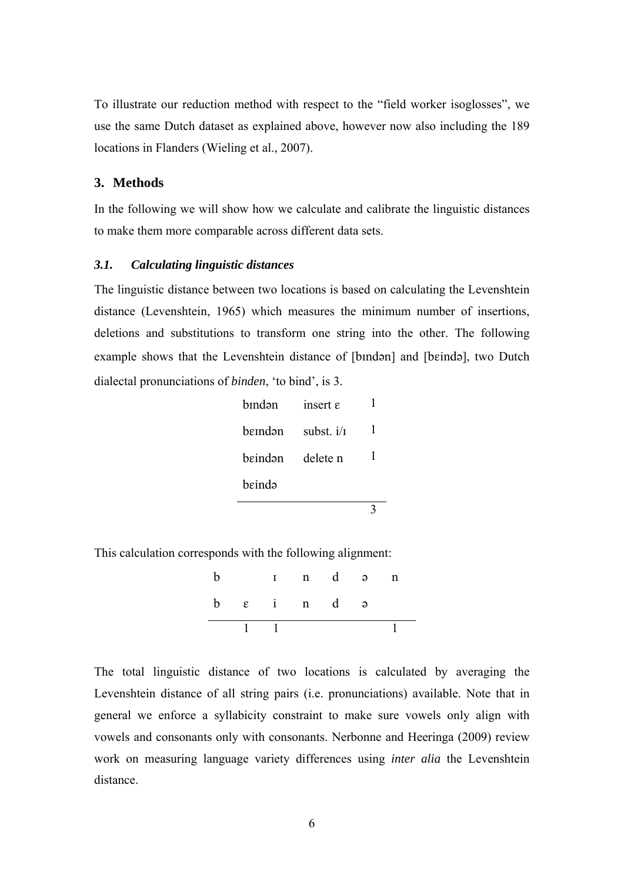To illustrate our reduction method with respect to the "field worker isoglosses", we use the same Dutch dataset as explained above, however now also including the 189 locations in Flanders (Wieling et al., 2007).

# **3. Methods**

In the following we will show how we calculate and calibrate the linguistic distances to make them more comparable across different data sets.

### *3.1. Calculating linguistic distances*

The linguistic distance between two locations is based on calculating the Levenshtein distance (Levenshtein, 1965) which measures the minimum number of insertions, deletions and substitutions to transform one string into the other. The following example shows that the Levenshtein distance of [bindan] and [beinda], two Dutch dialectal pronunciations of *binden*, 'to bind', is 3.

| hīndən  | insert $\varepsilon$ |   |
|---------|----------------------|---|
| hemdən  | subst. $i/\tau$      | ı |
| heindən | delete n             |   |
| heində  |                      |   |
|         |                      |   |

This calculation corresponds with the following alignment:

|  | $1 \quad 1$         |  |  |
|--|---------------------|--|--|
|  | $b \epsilon$ in d a |  |  |
|  | Ind an              |  |  |

The total linguistic distance of two locations is calculated by averaging the Levenshtein distance of all string pairs (i.e. pronunciations) available. Note that in general we enforce a syllabicity constraint to make sure vowels only align with vowels and consonants only with consonants. Nerbonne and Heeringa (2009) review work on measuring language variety differences using *inter alia* the Levenshtein distance.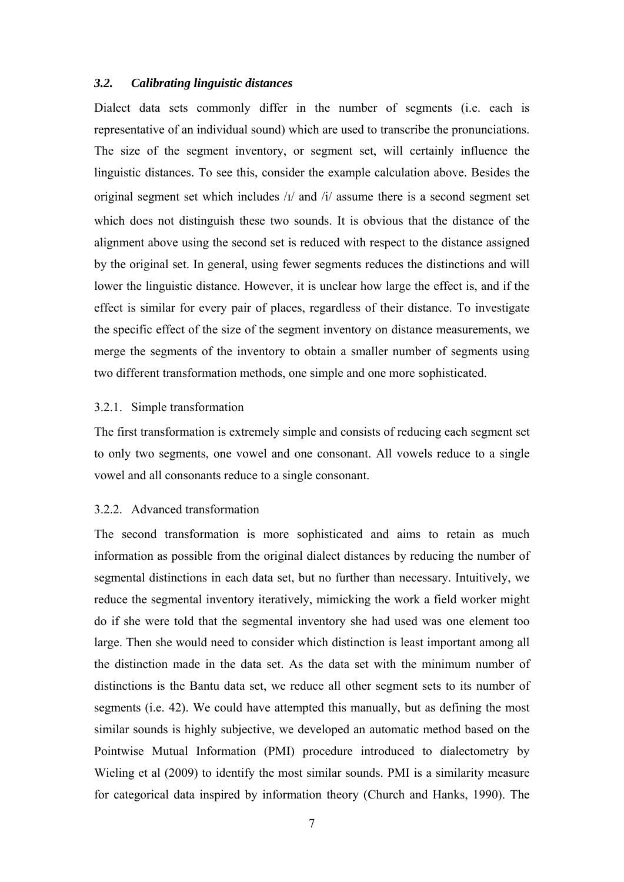### *3.2. Calibrating linguistic distances*

Dialect data sets commonly differ in the number of segments (i.e. each is representative of an individual sound) which are used to transcribe the pronunciations. The size of the segment inventory, or segment set, will certainly influence the linguistic distances. To see this, consider the example calculation above. Besides the original segment set which includes  $\frac{1}{4}$  and  $\frac{1}{4}$  assume there is a second segment set which does not distinguish these two sounds. It is obvious that the distance of the alignment above using the second set is reduced with respect to the distance assigned by the original set. In general, using fewer segments reduces the distinctions and will lower the linguistic distance. However, it is unclear how large the effect is, and if the effect is similar for every pair of places, regardless of their distance. To investigate the specific effect of the size of the segment inventory on distance measurements, we merge the segments of the inventory to obtain a smaller number of segments using two different transformation methods, one simple and one more sophisticated.

### 3.2.1. Simple transformation

The first transformation is extremely simple and consists of reducing each segment set to only two segments, one vowel and one consonant. All vowels reduce to a single vowel and all consonants reduce to a single consonant.

### 3.2.2. Advanced transformation

The second transformation is more sophisticated and aims to retain as much information as possible from the original dialect distances by reducing the number of segmental distinctions in each data set, but no further than necessary. Intuitively, we reduce the segmental inventory iteratively, mimicking the work a field worker might do if she were told that the segmental inventory she had used was one element too large. Then she would need to consider which distinction is least important among all the distinction made in the data set. As the data set with the minimum number of distinctions is the Bantu data set, we reduce all other segment sets to its number of segments (i.e. 42). We could have attempted this manually, but as defining the most similar sounds is highly subjective, we developed an automatic method based on the Pointwise Mutual Information (PMI) procedure introduced to dialectometry by Wieling et al (2009) to identify the most similar sounds. PMI is a similarity measure for categorical data inspired by information theory (Church and Hanks, 1990). The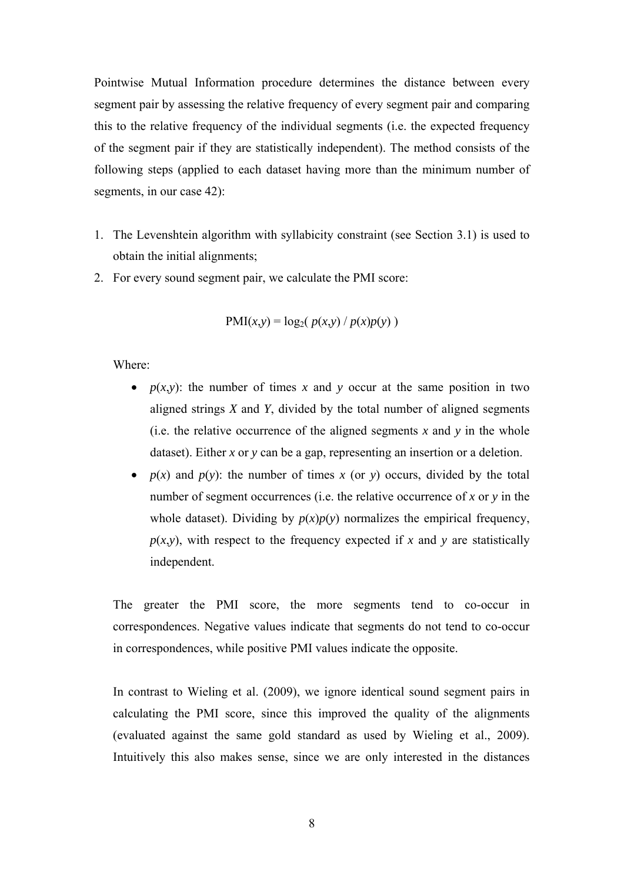Pointwise Mutual Information procedure determines the distance between every segment pair by assessing the relative frequency of every segment pair and comparing this to the relative frequency of the individual segments (i.e. the expected frequency of the segment pair if they are statistically independent). The method consists of the following steps (applied to each dataset having more than the minimum number of segments, in our case 42):

- 1. The Levenshtein algorithm with syllabicity constraint (see Section 3.1) is used to obtain the initial alignments;
- 2. For every sound segment pair, we calculate the PMI score:

$$
PMI(x,y) = log_2(p(x,y) / p(x)p(y))
$$

Where:

- $p(x,y)$ : the number of times x and y occur at the same position in two aligned strings *X* and *Y*, divided by the total number of aligned segments (i.e. the relative occurrence of the aligned segments  $x$  and  $y$  in the whole dataset). Either *x* or *y* can be a gap, representing an insertion or a deletion.
- $p(x)$  and  $p(y)$ : the number of times x (or y) occurs, divided by the total number of segment occurrences (i.e. the relative occurrence of *x* or *y* in the whole dataset). Dividing by  $p(x)p(y)$  normalizes the empirical frequency,  $p(x,y)$ , with respect to the frequency expected if *x* and *y* are statistically independent.

The greater the PMI score, the more segments tend to co-occur in correspondences. Negative values indicate that segments do not tend to co-occur in correspondences, while positive PMI values indicate the opposite.

In contrast to Wieling et al. (2009), we ignore identical sound segment pairs in calculating the PMI score, since this improved the quality of the alignments (evaluated against the same gold standard as used by Wieling et al., 2009). Intuitively this also makes sense, since we are only interested in the distances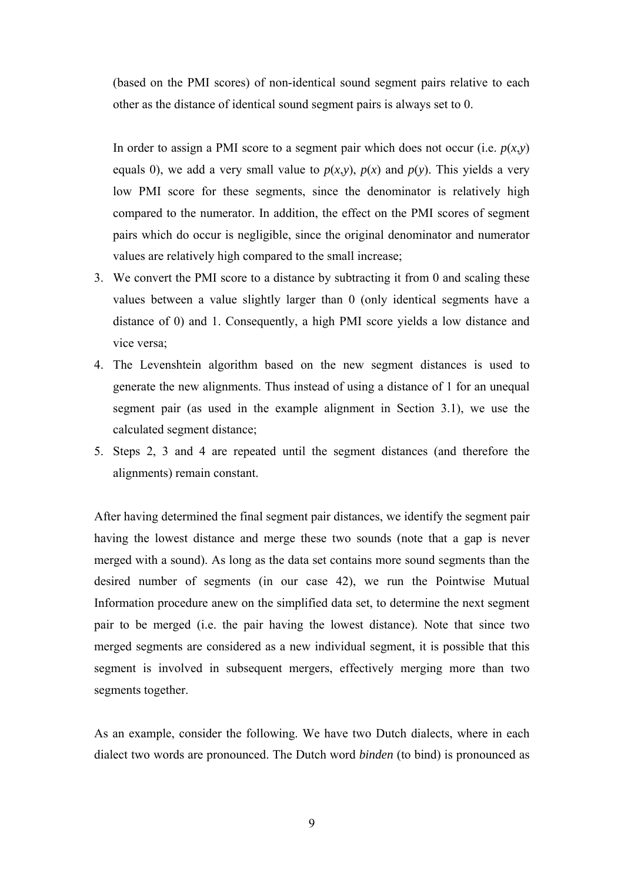(based on the PMI scores) of non-identical sound segment pairs relative to each other as the distance of identical sound segment pairs is always set to 0.

In order to assign a PMI score to a segment pair which does not occur (i.e.  $p(x, y)$ ) equals 0), we add a very small value to  $p(x, y)$ ,  $p(x)$  and  $p(y)$ . This yields a very low PMI score for these segments, since the denominator is relatively high compared to the numerator. In addition, the effect on the PMI scores of segment pairs which do occur is negligible, since the original denominator and numerator values are relatively high compared to the small increase;

- 3. We convert the PMI score to a distance by subtracting it from 0 and scaling these values between a value slightly larger than 0 (only identical segments have a distance of 0) and 1. Consequently, a high PMI score yields a low distance and vice versa;
- 4. The Levenshtein algorithm based on the new segment distances is used to generate the new alignments. Thus instead of using a distance of 1 for an unequal segment pair (as used in the example alignment in Section 3.1), we use the calculated segment distance;
- 5. Steps 2, 3 and 4 are repeated until the segment distances (and therefore the alignments) remain constant.

After having determined the final segment pair distances, we identify the segment pair having the lowest distance and merge these two sounds (note that a gap is never merged with a sound). As long as the data set contains more sound segments than the desired number of segments (in our case 42), we run the Pointwise Mutual Information procedure anew on the simplified data set, to determine the next segment pair to be merged (i.e. the pair having the lowest distance). Note that since two merged segments are considered as a new individual segment, it is possible that this segment is involved in subsequent mergers, effectively merging more than two segments together.

As an example, consider the following. We have two Dutch dialects, where in each dialect two words are pronounced. The Dutch word *binden* (to bind) is pronounced as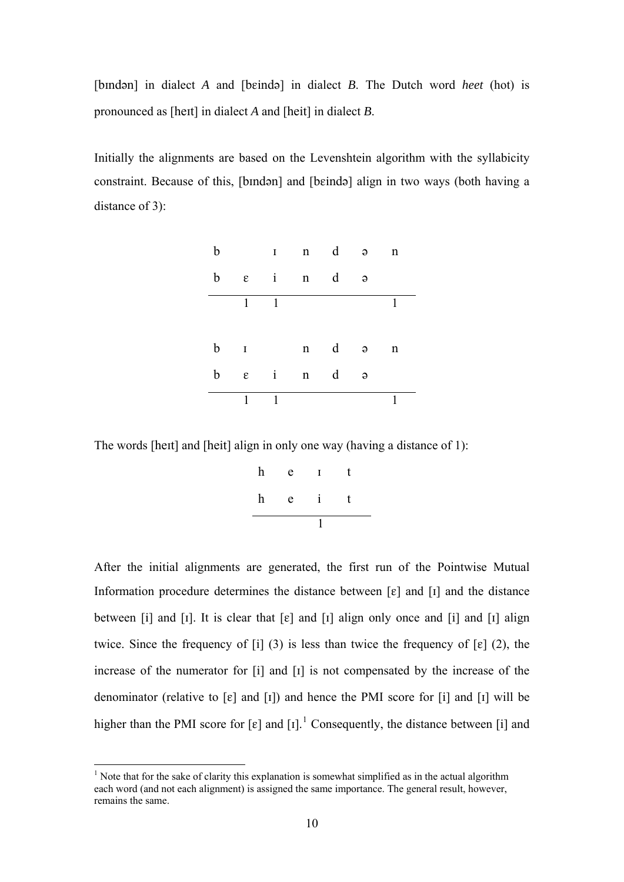[bindən] in dialect *A* and [beində] in dialect *B*. The Dutch word *heet* (hot) is pronounced as [hert] in dialect *A* and [heit] in dialect *B*.

Initially the alignments are based on the Levenshtein algorithm with the syllabicity constraint. Because of this, [bindən] and [beində] align in two ways (both having a distance of 3):

| $\mathbf b$ |   |                          | I n d a                             |   |          | $\mathbf n$ |  |
|-------------|---|--------------------------|-------------------------------------|---|----------|-------------|--|
| b           |   |                          | $\varepsilon$ in d                  |   | $\Theta$ |             |  |
|             | 1 | $\overline{\phantom{0}}$ |                                     |   |          |             |  |
|             |   |                          |                                     |   |          |             |  |
|             |   |                          | $b \quad n \quad d \quad a \quad n$ |   |          |             |  |
| $\mathbf b$ |   |                          | $\varepsilon$ in                    | d | $\Theta$ |             |  |
|             | 1 | $\mathbf{1}$             |                                     |   |          |             |  |

The words [hett] and [heit] align in only one way (having a distance of 1):

| $\boldsymbol{\mathrm{h}}$ | e |   | t |
|---------------------------|---|---|---|
| $\boldsymbol{\mathrm{h}}$ | e | Т | t |

After the initial alignments are generated, the first run of the Pointwise Mutual Information procedure determines the distance between  $[\varepsilon]$  and  $[i]$  and the distance between [i] and [I]. It is clear that  $[\varepsilon]$  and [I] align only once and [i] and [I] align twice. Since the frequency of [i] (3) is less than twice the frequency of  $\lceil \varepsilon \rceil$  (2), the increase of the numerator for  $[i]$  and  $[i]$  is not compensated by the increase of the denominator (relative to  $[\varepsilon]$  and  $[\iota]$ ) and hence the PMI score for  $[\iota]$  and  $[\iota]$  will be higher than the PMI score for  $[\varepsilon]$  and  $[I]$ .<sup>[1](#page-9-0)</sup> Consequently, the distance between [i] and

 $\overline{a}$ 

<span id="page-9-0"></span> $<sup>1</sup>$  Note that for the sake of clarity this explanation is somewhat simplified as in the actual algorithm</sup> each word (and not each alignment) is assigned the same importance. The general result, however, remains the same.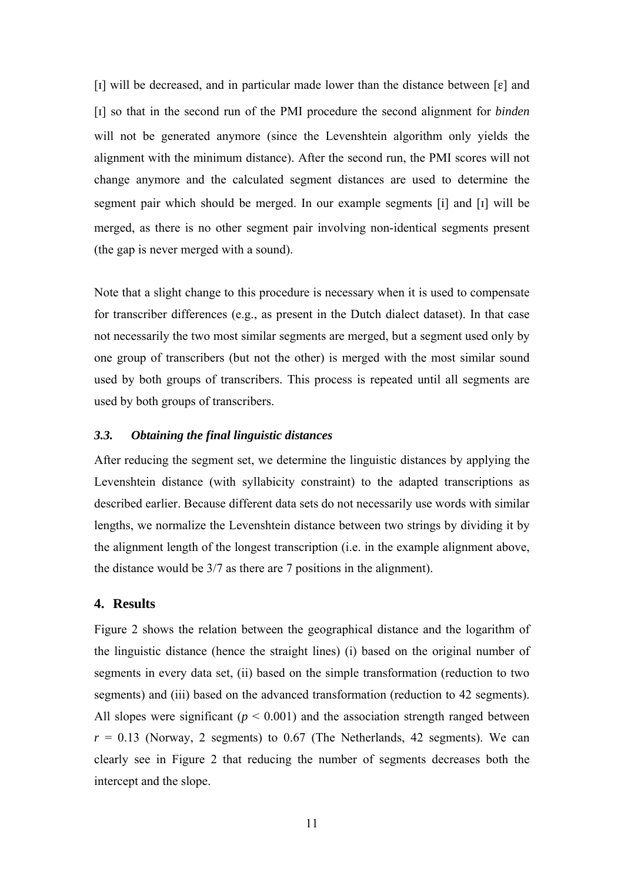[I] will be decreased, and in particular made lower than the distance between  $\lceil \varepsilon \rceil$  and [] so that in the second run of the PMI procedure the second alignment for *binden* will not be generated anymore (since the Levenshtein algorithm only vields the alignment with the minimum distance). After the second run, the PMI scores will not change anymore and the calculated segment distances are used to determine the segment pair which should be merged. In our example segments [i] and [I] will be merged, as there is no other segment pair involving non-identical segments present (the gap is never merged with a sound).

Note that a slight change to this procedure is necessary when it is used to compensate for transcriber differences (e.g., as present in the Dutch dialect dataset). In that case not necessarily the two most similar segments are merged, but a segment used only by one group of transcribers (but not the other) is merged with the most similar sound used by both groups of transcribers. This process is repeated until all segments are used by both groups of transcribers.

# *3.3. Obtaining the final linguistic distances*

After reducing the segment set, we determine the linguistic distances by applying the Levenshtein distance (with syllabicity constraint) to the adapted transcriptions as described earlier. Because different data sets do not necessarily use words with similar lengths, we normalize the Levenshtein distance between two strings by dividing it by the alignment length of the longest transcription (i.e. in the example alignment above, the distance would be 3/7 as there are 7 positions in the alignment).

## **4. Results**

Figure 2 shows the relation between the geographical distance and the logarithm of the linguistic distance (hence the straight lines) (i) based on the original number of segments in every data set, (ii) based on the simple transformation (reduction to two segments) and (iii) based on the advanced transformation (reduction to 42 segments). All slopes were significant  $(p < 0.001)$  and the association strength ranged between  $r = 0.13$  (Norway, 2 segments) to 0.67 (The Netherlands, 42 segments). We can clearly see in Figure 2 that reducing the number of segments decreases both the intercept and the slope.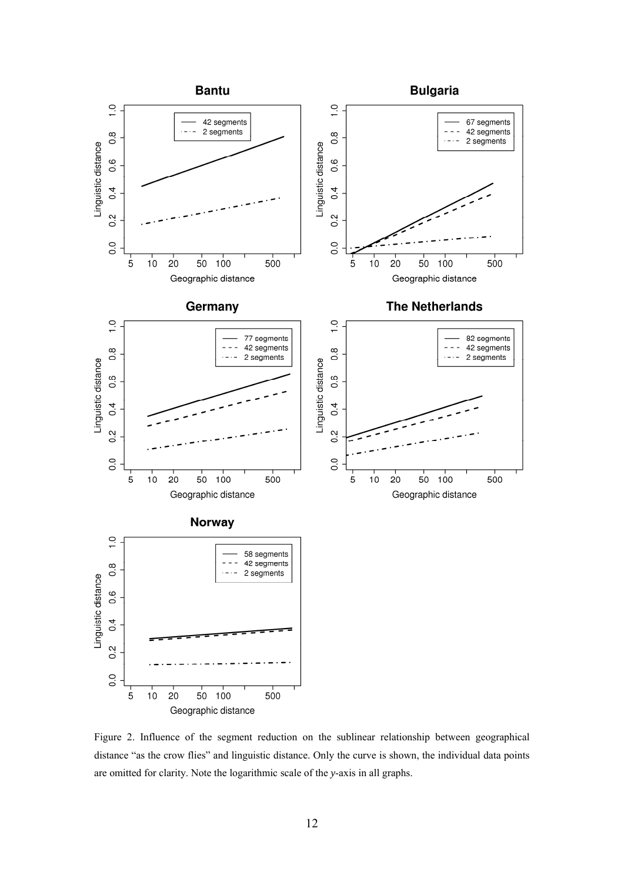

Figure 2. Influence of the segment reduction on the sublinear relationship between geographical distance "as the crow flies" and linguistic distance. Only the curve is shown, the individual data points are omitted for clarity. Note the logarithmic scale of the *y*-axis in all graphs.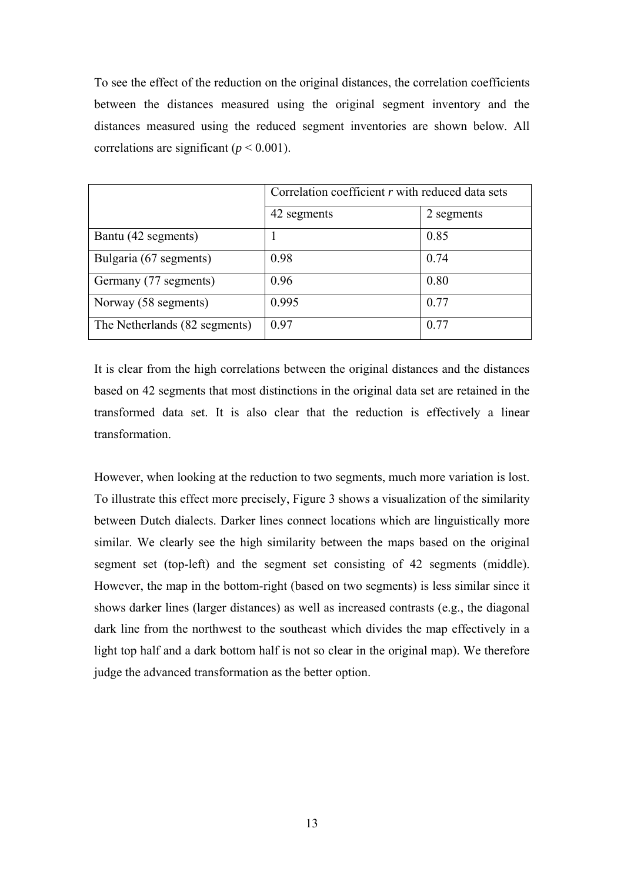To see the effect of the reduction on the original distances, the correlation coefficients between the distances measured using the original segment inventory and the distances measured using the reduced segment inventories are shown below. All correlations are significant ( $p < 0.001$ ).

|                               | Correlation coefficient $r$ with reduced data sets |            |  |
|-------------------------------|----------------------------------------------------|------------|--|
|                               | 42 segments                                        | 2 segments |  |
| Bantu (42 segments)           |                                                    | 0.85       |  |
| Bulgaria (67 segments)        | 0.98                                               | 0.74       |  |
| Germany (77 segments)         | 0.96                                               | 0.80       |  |
| Norway (58 segments)          | 0.995                                              | 0.77       |  |
| The Netherlands (82 segments) | 0.97                                               | 0.77       |  |

It is clear from the high correlations between the original distances and the distances based on 42 segments that most distinctions in the original data set are retained in the transformed data set. It is also clear that the reduction is effectively a linear transformation.

However, when looking at the reduction to two segments, much more variation is lost. To illustrate this effect more precisely, Figure 3 shows a visualization of the similarity between Dutch dialects. Darker lines connect locations which are linguistically more similar. We clearly see the high similarity between the maps based on the original segment set (top-left) and the segment set consisting of 42 segments (middle). However, the map in the bottom-right (based on two segments) is less similar since it shows darker lines (larger distances) as well as increased contrasts (e.g., the diagonal dark line from the northwest to the southeast which divides the map effectively in a light top half and a dark bottom half is not so clear in the original map). We therefore judge the advanced transformation as the better option.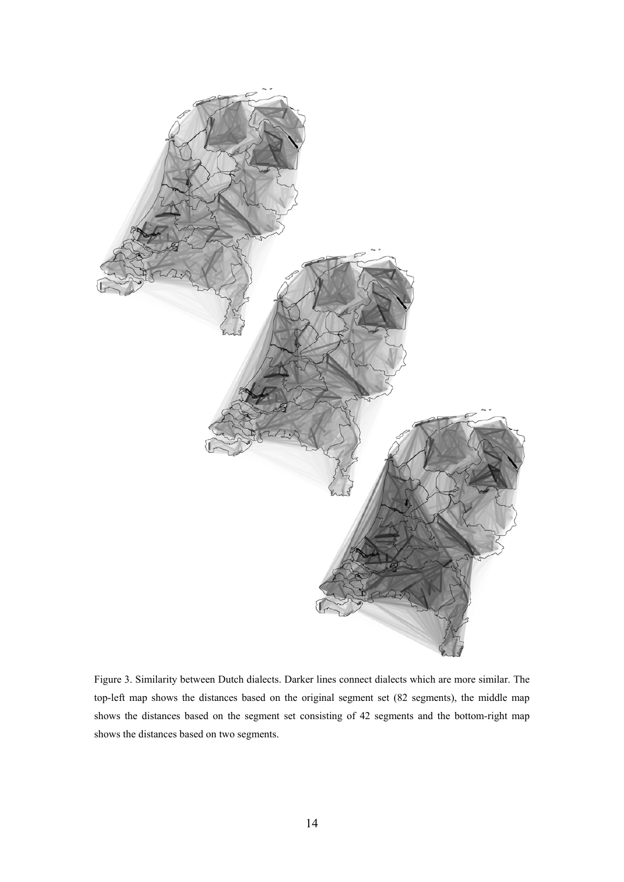

Figure 3. Similarity between Dutch dialects. Darker lines connect dialects which are more similar. The top-left map shows the distances based on the original segment set (82 segments), the middle map shows the distances based on the segment set consisting of 42 segments and the bottom-right map shows the distances based on two segments.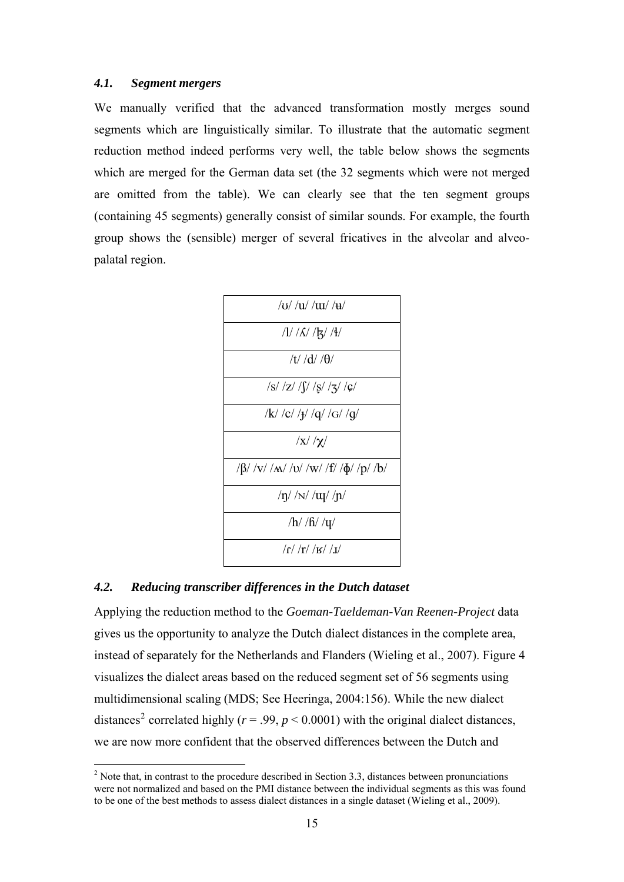## *4.1. Segment mergers*

We manually verified that the advanced transformation mostly merges sound segments which are linguistically similar. To illustrate that the automatic segment reduction method indeed performs very well, the table below shows the segments which are merged for the German data set (the 32 segments which were not merged are omitted from the table). We can clearly see that the ten segment groups (containing 45 segments) generally consist of similar sounds. For example, the fourth group shows the (sensible) merger of several fricatives in the alveolar and alveopalatal region.



#### *4.2. Reducing transcriber differences in the Dutch dataset*

 $\overline{a}$ 

Applying the reduction method to the *Goeman-Taeldeman-Van Reenen-Project* data gives us the opportunity to analyze the Dutch dialect distances in the complete area, instead of separately for the Netherlands and Flanders (Wieling et al., 2007). Figure 4 visualizes the dialect areas based on the reduced segment set of 56 segments using multidimensional scaling (MDS; See Heeringa, 2004:156). While the new dialect distances<sup>[2](#page-14-0)</sup> correlated highly ( $r = .99$ ,  $p < 0.0001$ ) with the original dialect distances, we are now more confident that the observed differences between the Dutch and

<span id="page-14-0"></span> $2^2$  Note that, in contrast to the procedure described in Section 3.3, distances between pronunciations were not normalized and based on the PMI distance between the individual segments as this was found to be one of the best methods to assess dialect distances in a single dataset (Wieling et al., 2009).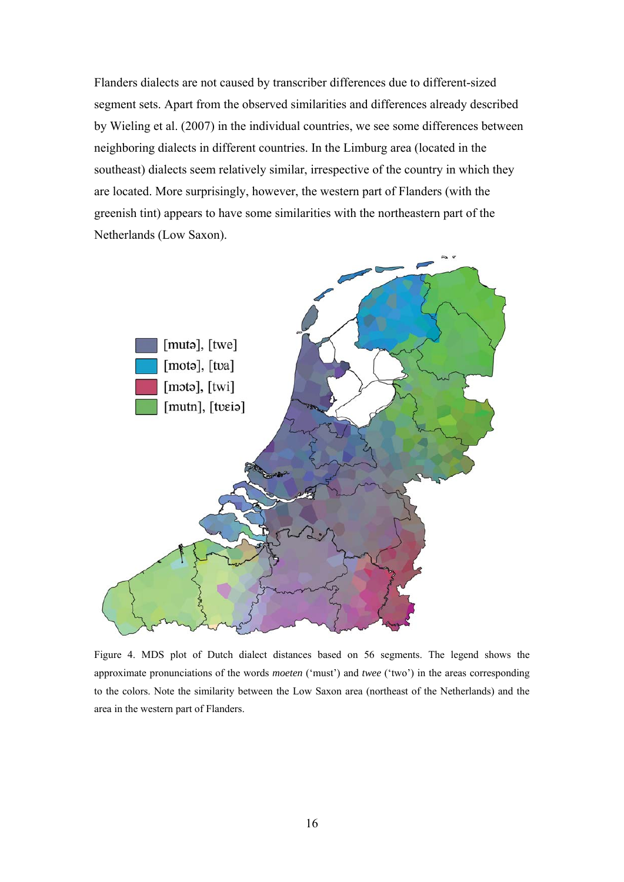Flanders dialects are not caused by transcriber differences due to different-sized segment sets. Apart from the observed similarities and differences already described by Wieling et al. (2007) in the individual countries, we see some differences between neighboring dialects in different countries. In the Limburg area (located in the southeast) dialects seem relatively similar, irrespective of the country in which they are located. More surprisingly, however, the western part of Flanders (with the greenish tint) appears to have some similarities with the northeastern part of the Netherlands (Low Saxon).



Figure 4. MDS plot of Dutch dialect distances based on 56 segments. The legend shows the approximate pronunciations of the words *moeten* ('must') and *twee* ('two') in the areas corresponding to the colors. Note the similarity between the Low Saxon area (northeast of the Netherlands) and the area in the western part of Flanders.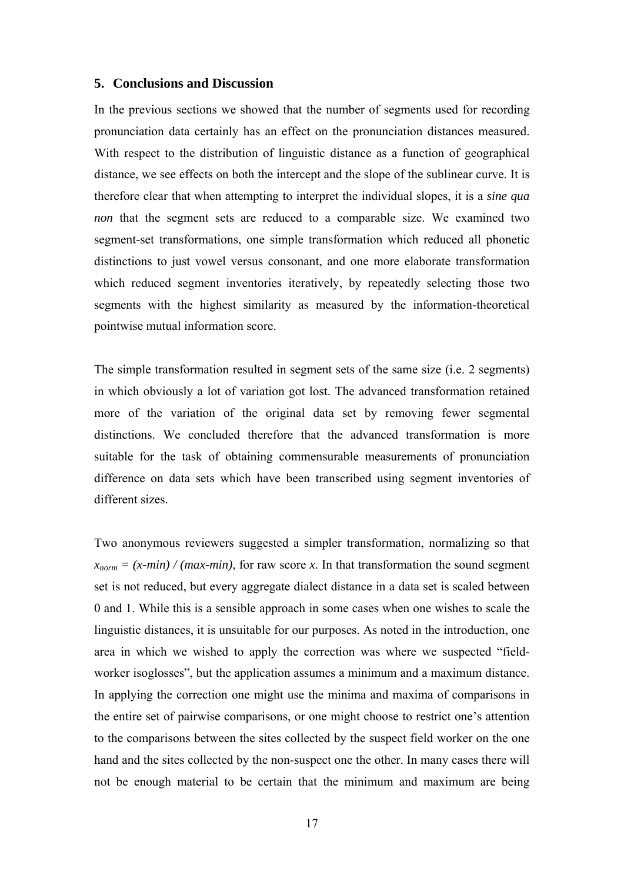## **5. Conclusions and Discussion**

In the previous sections we showed that the number of segments used for recording pronunciation data certainly has an effect on the pronunciation distances measured. With respect to the distribution of linguistic distance as a function of geographical distance, we see effects on both the intercept and the slope of the sublinear curve. It is therefore clear that when attempting to interpret the individual slopes, it is a *sine qua non* that the segment sets are reduced to a comparable size. We examined two segment-set transformations, one simple transformation which reduced all phonetic distinctions to just vowel versus consonant, and one more elaborate transformation which reduced segment inventories iteratively, by repeatedly selecting those two segments with the highest similarity as measured by the information-theoretical pointwise mutual information score.

The simple transformation resulted in segment sets of the same size (i.e. 2 segments) in which obviously a lot of variation got lost. The advanced transformation retained more of the variation of the original data set by removing fewer segmental distinctions. We concluded therefore that the advanced transformation is more suitable for the task of obtaining commensurable measurements of pronunciation difference on data sets which have been transcribed using segment inventories of different sizes.

Two anonymous reviewers suggested a simpler transformation, normalizing so that  $x_{norm} = (x-min) / (max-min)$ , for raw score *x*. In that transformation the sound segment set is not reduced, but every aggregate dialect distance in a data set is scaled between 0 and 1. While this is a sensible approach in some cases when one wishes to scale the linguistic distances, it is unsuitable for our purposes. As noted in the introduction, one area in which we wished to apply the correction was where we suspected "fieldworker isoglosses", but the application assumes a minimum and a maximum distance. In applying the correction one might use the minima and maxima of comparisons in the entire set of pairwise comparisons, or one might choose to restrict one's attention to the comparisons between the sites collected by the suspect field worker on the one hand and the sites collected by the non-suspect one the other. In many cases there will not be enough material to be certain that the minimum and maximum are being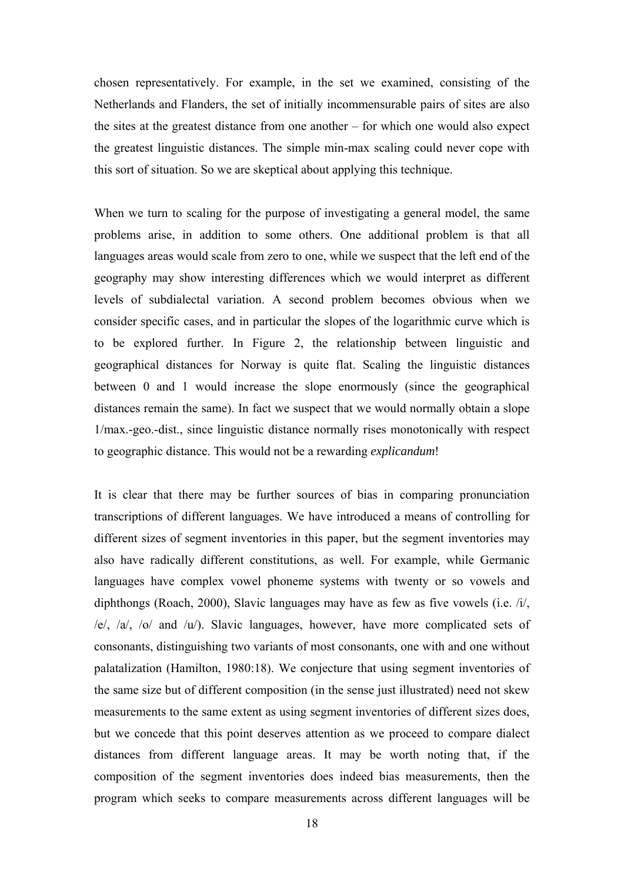chosen representatively. For example, in the set we examined, consisting of the Netherlands and Flanders, the set of initially incommensurable pairs of sites are also the sites at the greatest distance from one another – for which one would also expect the greatest linguistic distances. The simple min-max scaling could never cope with this sort of situation. So we are skeptical about applying this technique.

When we turn to scaling for the purpose of investigating a general model, the same problems arise, in addition to some others. One additional problem is that all languages areas would scale from zero to one, while we suspect that the left end of the geography may show interesting differences which we would interpret as different levels of subdialectal variation. A second problem becomes obvious when we consider specific cases, and in particular the slopes of the logarithmic curve which is to be explored further. In Figure 2, the relationship between linguistic and geographical distances for Norway is quite flat. Scaling the linguistic distances between 0 and 1 would increase the slope enormously (since the geographical distances remain the same). In fact we suspect that we would normally obtain a slope 1/max.-geo.-dist., since linguistic distance normally rises monotonically with respect to geographic distance. This would not be a rewarding *explicandum*!

It is clear that there may be further sources of bias in comparing pronunciation transcriptions of different languages. We have introduced a means of controlling for different sizes of segment inventories in this paper, but the segment inventories may also have radically different constitutions, as well. For example, while Germanic languages have complex vowel phoneme systems with twenty or so vowels and diphthongs (Roach, 2000), Slavic languages may have as few as five vowels (i.e. /i/, /e/, /a/, /o/ and /u/). Slavic languages, however, have more complicated sets of consonants, distinguishing two variants of most consonants, one with and one without palatalization (Hamilton, 1980:18). We conjecture that using segment inventories of the same size but of different composition (in the sense just illustrated) need not skew measurements to the same extent as using segment inventories of different sizes does, but we concede that this point deserves attention as we proceed to compare dialect distances from different language areas. It may be worth noting that, if the composition of the segment inventories does indeed bias measurements, then the program which seeks to compare measurements across different languages will be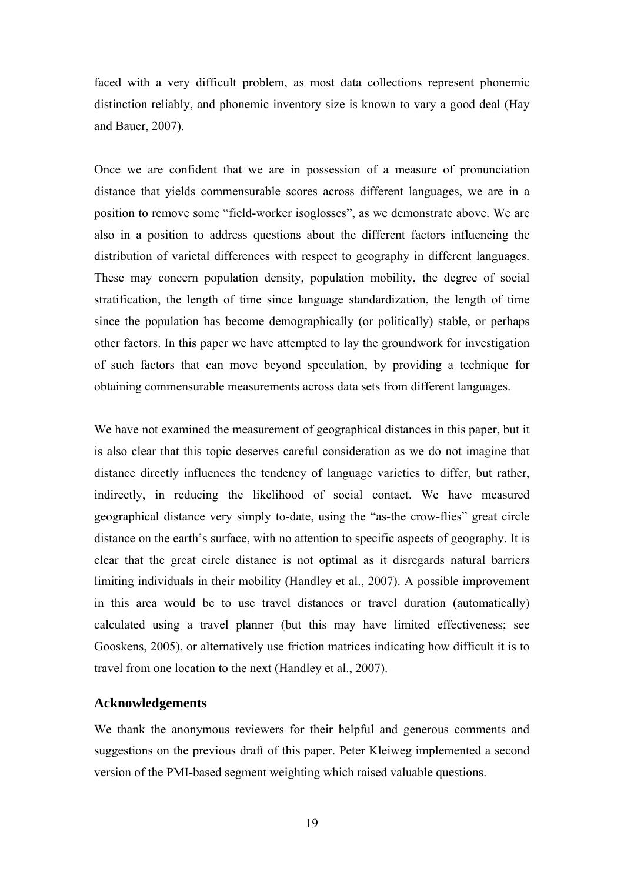faced with a very difficult problem, as most data collections represent phonemic distinction reliably, and phonemic inventory size is known to vary a good deal (Hay and Bauer, 2007).

Once we are confident that we are in possession of a measure of pronunciation distance that yields commensurable scores across different languages, we are in a position to remove some "field-worker isoglosses", as we demonstrate above. We are also in a position to address questions about the different factors influencing the distribution of varietal differences with respect to geography in different languages. These may concern population density, population mobility, the degree of social stratification, the length of time since language standardization, the length of time since the population has become demographically (or politically) stable, or perhaps other factors. In this paper we have attempted to lay the groundwork for investigation of such factors that can move beyond speculation, by providing a technique for obtaining commensurable measurements across data sets from different languages.

We have not examined the measurement of geographical distances in this paper, but it is also clear that this topic deserves careful consideration as we do not imagine that distance directly influences the tendency of language varieties to differ, but rather, indirectly, in reducing the likelihood of social contact. We have measured geographical distance very simply to-date, using the "as-the crow-flies" great circle distance on the earth's surface, with no attention to specific aspects of geography. It is clear that the great circle distance is not optimal as it disregards natural barriers limiting individuals in their mobility (Handley et al., 2007). A possible improvement in this area would be to use travel distances or travel duration (automatically) calculated using a travel planner (but this may have limited effectiveness; see Gooskens, 2005), or alternatively use friction matrices indicating how difficult it is to travel from one location to the next (Handley et al., 2007).

#### **Acknowledgements**

We thank the anonymous reviewers for their helpful and generous comments and suggestions on the previous draft of this paper. Peter Kleiweg implemented a second version of the PMI-based segment weighting which raised valuable questions.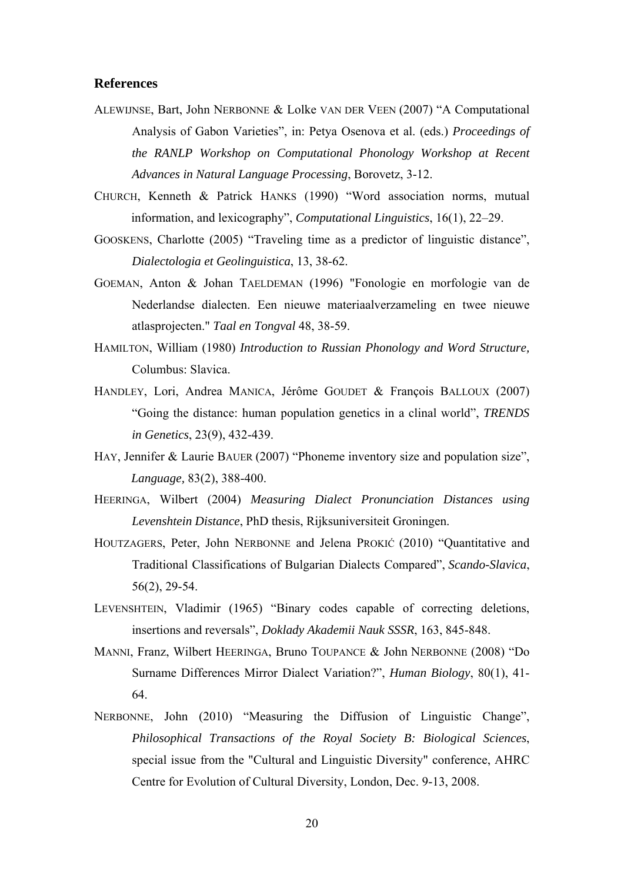## **References**

- ALEWIJNSE, Bart, John NERBONNE & Lolke VAN DER VEEN (2007) "A Computational Analysis of Gabon Varieties", in: Petya Osenova et al. (eds.) *Proceedings of the RANLP Workshop on Computational Phonology Workshop at Recent Advances in Natural Language Processing*, Borovetz, 3-12.
- CHURCH, Kenneth & Patrick HANKS (1990) "Word association norms, mutual information, and lexicography", *Computational Linguistics*, 16(1), 22–29.
- GOOSKENS, Charlotte (2005) "Traveling time as a predictor of linguistic distance", *Dialectologia et Geolinguistica*, 13, 38-62.
- GOEMAN, Anton & Johan TAELDEMAN (1996) "Fonologie en morfologie van de Nederlandse dialecten. Een nieuwe materiaalverzameling en twee nieuwe atlasprojecten." *Taal en Tongval* 48, 38-59.
- HAMILTON, William (1980) *Introduction to Russian Phonology and Word Structure,* Columbus: Slavica.
- HANDLEY, Lori, Andrea MANICA, Jérôme GOUDET & François BALLOUX (2007) "Going the distance: human population genetics in a clinal world", *TRENDS in Genetics*, 23(9), 432-439.
- HAY, Jennifer & Laurie BAUER (2007) "Phoneme inventory size and population size". *Language,* 83(2), 388-400.
- HEERINGA, Wilbert (2004) *Measuring Dialect Pronunciation Distances using Levenshtein Distance*, PhD thesis, Rijksuniversiteit Groningen.
- HOUTZAGERS, Peter, John NERBONNE and Jelena PROKIĆ (2010) "Quantitative and Traditional Classifications of Bulgarian Dialects Compared", *Scando-Slavica*, 56(2), 29-54.
- LEVENSHTEIN, Vladimir (1965) "Binary codes capable of correcting deletions, insertions and reversals", *Doklady Akademii Nauk SSSR*, 163, 845-848.
- MANNI, Franz, Wilbert HEERINGA, Bruno TOUPANCE & John NERBONNE (2008) "Do Surname Differences Mirror Dialect Variation?", *Human Biology*, 80(1), 41- 64.
- NERBONNE, John (2010) "Measuring the Diffusion of Linguistic Change", *Philosophical Transactions of the Royal Society B: Biological Sciences*, special issue from the "Cultural and Linguistic Diversity" conference, AHRC Centre for Evolution of Cultural Diversity, London, Dec. 9-13, 2008.